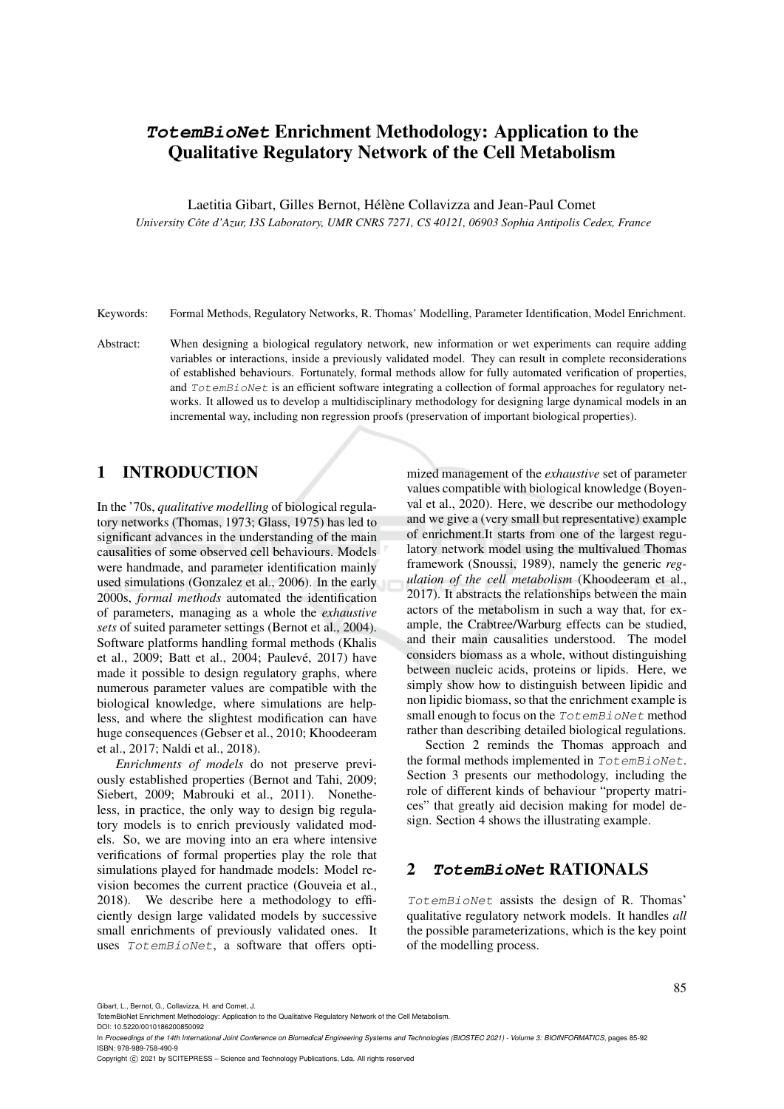# **TotemBioNet** Enrichment Methodology: Application to the Qualitative Regulatory Network of the Cell Metabolism

Laetitia Gibart, Gilles Bernot, Hélène Collavizza and Jean-Paul Comet

*University Cote d'Azur, I3S Laboratory, UMR CNRS 7271, CS 40121, 06903 Sophia Antipolis Cedex, France ˆ*

Keywords: Formal Methods, Regulatory Networks, R. Thomas' Modelling, Parameter Identification, Model Enrichment.

Abstract: When designing a biological regulatory network, new information or wet experiments can require adding variables or interactions, inside a previously validated model. They can result in complete reconsiderations of established behaviours. Fortunately, formal methods allow for fully automated verification of properties, and TotemBioNet is an efficient software integrating a collection of formal approaches for regulatory networks. It allowed us to develop a multidisciplinary methodology for designing large dynamical models in an incremental way, including non regression proofs (preservation of important biological properties).

# 1 INTRODUCTION

In the '70s, *qualitative modelling* of biological regulatory networks (Thomas, 1973; Glass, 1975) has led to significant advances in the understanding of the main causalities of some observed cell behaviours. Models were handmade, and parameter identification mainly used simulations (Gonzalez et al., 2006). In the early 2000s, *formal methods* automated the identification of parameters, managing as a whole the *exhaustive sets* of suited parameter settings (Bernot et al., 2004). Software platforms handling formal methods (Khalis et al., 2009; Batt et al., 2004; Paulevé, 2017) have made it possible to design regulatory graphs, where numerous parameter values are compatible with the biological knowledge, where simulations are helpless, and where the slightest modification can have huge consequences (Gebser et al., 2010; Khoodeeram et al., 2017; Naldi et al., 2018).

*Enrichments of models* do not preserve previously established properties (Bernot and Tahi, 2009; Siebert, 2009; Mabrouki et al., 2011). Nonetheless, in practice, the only way to design big regulatory models is to enrich previously validated models. So, we are moving into an era where intensive verifications of formal properties play the role that simulations played for handmade models: Model revision becomes the current practice (Gouveia et al., 2018). We describe here a methodology to efficiently design large validated models by successive small enrichments of previously validated ones. It uses TotemBioNet, a software that offers opti-

mized management of the *exhaustive* set of parameter values compatible with biological knowledge (Boyenval et al., 2020). Here, we describe our methodology and we give a (very small but representative) example of enrichment.It starts from one of the largest regulatory network model using the multivalued Thomas framework (Snoussi, 1989), namely the generic *regulation of the cell metabolism* (Khoodeeram et al., 2017). It abstracts the relationships between the main actors of the metabolism in such a way that, for example, the Crabtree/Warburg effects can be studied, and their main causalities understood. The model considers biomass as a whole, without distinguishing between nucleic acids, proteins or lipids. Here, we simply show how to distinguish between lipidic and non lipidic biomass, so that the enrichment example is small enough to focus on the TotemBioNet method rather than describing detailed biological regulations.

Section 2 reminds the Thomas approach and the formal methods implemented in TotemBioNet. Section 3 presents our methodology, including the role of different kinds of behaviour "property matrices" that greatly aid decision making for model design. Section 4 shows the illustrating example.

### 2 **TotemBioNet** RATIONALS

TotemBioNet assists the design of R. Thomas' qualitative regulatory network models. It handles *all* the possible parameterizations, which is the key point of the modelling process.

Gibart, L., Bernot, G., Collavizza, H. and Comet, J.

Copyright (C) 2021 by SCITEPRESS - Science and Technology Publications, Lda. All rights reserved

TotemBioNet Enrichment Methodology: Application to the Qualitative Regulatory Network of the Cell Metabolism.

DOI: 10.5220/0010186200850092

In *Proceedings of the 14th International Joint Conference on Biomedical Engineering Systems and Technologies (BIOSTEC 2021) - Volume 3: BIOINFORMATICS, pages 85-92* ISBN: 978-989-758-490-9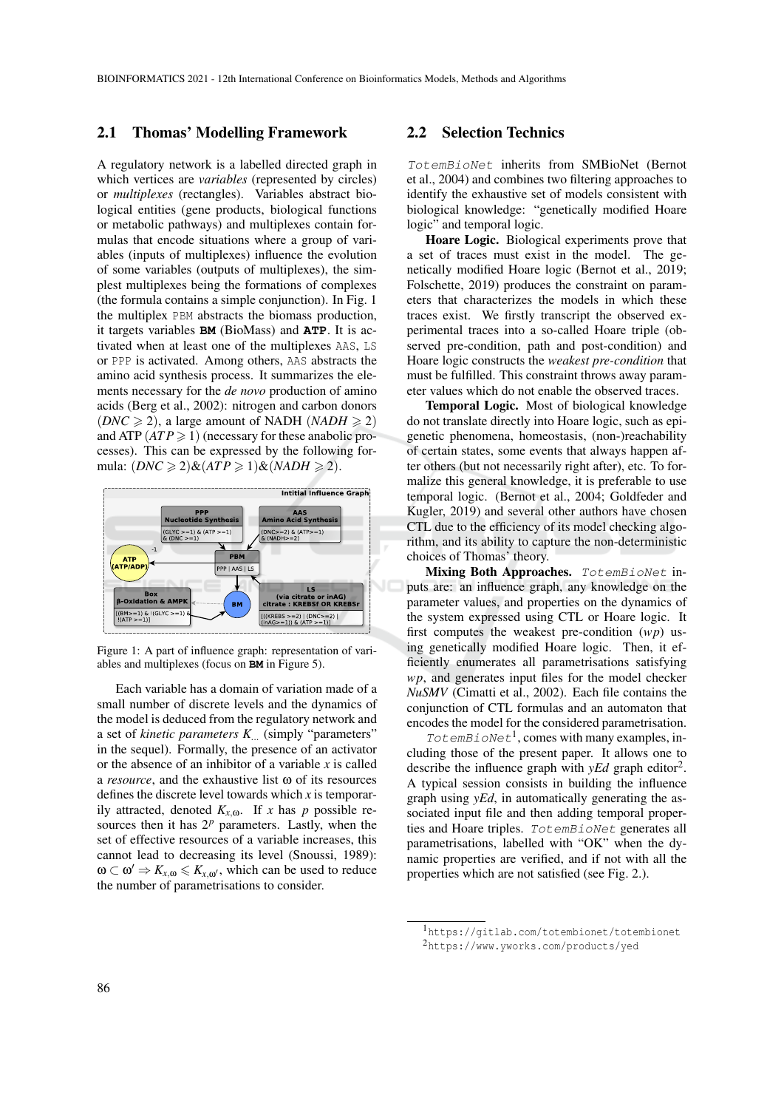#### 2.1 Thomas' Modelling Framework

A regulatory network is a labelled directed graph in which vertices are *variables* (represented by circles) or *multiplexes* (rectangles). Variables abstract biological entities (gene products, biological functions or metabolic pathways) and multiplexes contain formulas that encode situations where a group of variables (inputs of multiplexes) influence the evolution of some variables (outputs of multiplexes), the simplest multiplexes being the formations of complexes (the formula contains a simple conjunction). In Fig. 1 the multiplex PBM abstracts the biomass production, it targets variables **BM** (BioMass) and **ATP**. It is activated when at least one of the multiplexes AAS, LS or PPP is activated. Among others, AAS abstracts the amino acid synthesis process. It summarizes the elements necessary for the *de novo* production of amino acids (Berg et al., 2002): nitrogen and carbon donors (*DNC*  $\geq$  2), a large amount of NADH (*NADH*  $\geq$  2) and ATP  $(ATP \ge 1)$  (necessary for these anabolic processes). This can be expressed by the following formula:  $(DNC \geq 2) \& (ATP \geq 1) \& (NADH \geq 2)$ .



Figure 1: A part of influence graph: representation of variables and multiplexes (focus on **BM** in Figure 5).

Each variable has a domain of variation made of a small number of discrete levels and the dynamics of the model is deduced from the regulatory network and a set of *kinetic parameters K*... (simply "parameters" in the sequel). Formally, the presence of an activator or the absence of an inhibitor of a variable *x* is called a *resource*, and the exhaustive list ω of its resources defines the discrete level towards which *x* is temporarily attracted, denoted  $K_{x,\omega}$ . If *x* has *p* possible resources then it has  $2^p$  parameters. Lastly, when the set of effective resources of a variable increases, this cannot lead to decreasing its level (Snoussi, 1989):  $\omega \subset \omega' \Rightarrow K_{x,\omega} \leq K_{x,\omega'}$ , which can be used to reduce the number of parametrisations to consider.

#### 2.2 Selection Technics

TotemBioNet inherits from SMBioNet (Bernot et al., 2004) and combines two filtering approaches to identify the exhaustive set of models consistent with biological knowledge: "genetically modified Hoare logic" and temporal logic.

Hoare Logic. Biological experiments prove that a set of traces must exist in the model. The genetically modified Hoare logic (Bernot et al., 2019; Folschette, 2019) produces the constraint on parameters that characterizes the models in which these traces exist. We firstly transcript the observed experimental traces into a so-called Hoare triple (observed pre-condition, path and post-condition) and Hoare logic constructs the *weakest pre-condition* that must be fulfilled. This constraint throws away parameter values which do not enable the observed traces.

Temporal Logic. Most of biological knowledge do not translate directly into Hoare logic, such as epigenetic phenomena, homeostasis, (non-)reachability of certain states, some events that always happen after others (but not necessarily right after), etc. To formalize this general knowledge, it is preferable to use temporal logic. (Bernot et al., 2004; Goldfeder and Kugler, 2019) and several other authors have chosen CTL due to the efficiency of its model checking algorithm, and its ability to capture the non-deterministic choices of Thomas' theory.

Mixing Both Approaches. TotemBioNet inputs are: an influence graph, any knowledge on the parameter values, and properties on the dynamics of the system expressed using CTL or Hoare logic. It first computes the weakest pre-condition (*wp*) using genetically modified Hoare logic. Then, it efficiently enumerates all parametrisations satisfying *wp*, and generates input files for the model checker *NuSMV* (Cimatti et al., 2002). Each file contains the conjunction of CTL formulas and an automaton that encodes the model for the considered parametrisation.

 $\mathit{TotemBioNet}^1$ , comes with many examples, including those of the present paper. It allows one to describe the influence graph with *yEd* graph editor<sup>2</sup>. A typical session consists in building the influence graph using *yEd*, in automatically generating the associated input file and then adding temporal properties and Hoare triples. TotemBioNet generates all parametrisations, labelled with "OK" when the dynamic properties are verified, and if not with all the properties which are not satisfied (see Fig. 2.).

<sup>1</sup>https://gitlab.com/totembionet/totembionet

<sup>2</sup>https://www.yworks.com/products/yed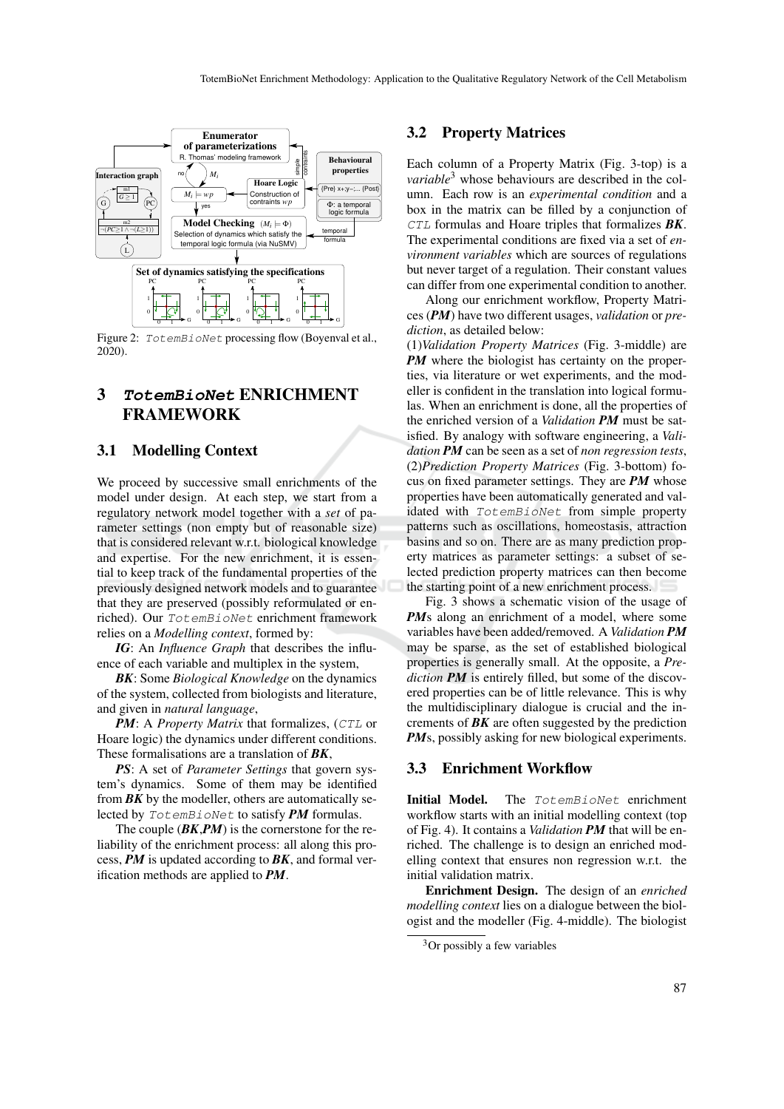

Figure 2: TotemBioNet processing flow (Boyenval et al., 2020).

# 3 **TotemBioNet** ENRICHMENT FRAMEWORK

#### 3.1 Modelling Context

We proceed by successive small enrichments of the model under design. At each step, we start from a regulatory network model together with a *set* of parameter settings (non empty but of reasonable size) that is considered relevant w.r.t. biological knowledge and expertise. For the new enrichment, it is essential to keep track of the fundamental properties of the previously designed network models and to guarantee that they are preserved (possibly reformulated or enriched). Our TotemBioNet enrichment framework relies on a *Modelling context*, formed by:

*IG*: An *Influence Graph* that describes the influence of each variable and multiplex in the system,

*BK*: Some *Biological Knowledge* on the dynamics of the system, collected from biologists and literature, and given in *natural language*,

*PM*: A *Property Matrix* that formalizes, (CTL or Hoare logic) the dynamics under different conditions. These formalisations are a translation of *BK*,

*PS*: A set of *Parameter Settings* that govern system's dynamics. Some of them may be identified from  $BK$  by the modeller, others are automatically selected by TotemBioNet to satisfy *PM* formulas.

The couple (*BK*,*PM*) is the cornerstone for the reliability of the enrichment process: all along this process, *PM* is updated according to *BK*, and formal verification methods are applied to *PM*.

#### 3.2 Property Matrices

Each column of a Property Matrix (Fig. 3-top) is a *variable*<sup>3</sup> whose behaviours are described in the column. Each row is an *experimental condition* and a box in the matrix can be filled by a conjunction of CTL formulas and Hoare triples that formalizes *BK*. The experimental conditions are fixed via a set of *environment variables* which are sources of regulations but never target of a regulation. Their constant values can differ from one experimental condition to another.

Along our enrichment workflow, Property Matrices (*PM*) have two different usages, *validation* or *prediction*, as detailed below:

(1)*Validation Property Matrices* (Fig. 3-middle) are *PM* where the biologist has certainty on the properties, via literature or wet experiments, and the modeller is confident in the translation into logical formulas. When an enrichment is done, all the properties of the enriched version of a *Validation PM* must be satisfied. By analogy with software engineering, a *Validation PM* can be seen as a set of *non regression tests*, (2)*Prediction Property Matrices* (Fig. 3-bottom) focus on fixed parameter settings. They are *PM* whose properties have been automatically generated and validated with TotemBioNet from simple property patterns such as oscillations, homeostasis, attraction basins and so on. There are as many prediction property matrices as parameter settings: a subset of selected prediction property matrices can then become the starting point of a new enrichment process.

Fig. 3 shows a schematic vision of the usage of *PM*s along an enrichment of a model, where some variables have been added/removed. A *Validation PM* may be sparse, as the set of established biological properties is generally small. At the opposite, a *Prediction PM* is entirely filled, but some of the discovered properties can be of little relevance. This is why the multidisciplinary dialogue is crucial and the increments of *BK* are often suggested by the prediction *PMs*, possibly asking for new biological experiments.

#### 3.3 Enrichment Workflow

Initial Model. The TotemBioNet enrichment workflow starts with an initial modelling context (top of Fig. 4). It contains a *Validation PM* that will be enriched. The challenge is to design an enriched modelling context that ensures non regression w.r.t. the initial validation matrix.

Enrichment Design. The design of an *enriched modelling context* lies on a dialogue between the biologist and the modeller (Fig. 4-middle). The biologist

 $3$ Or possibly a few variables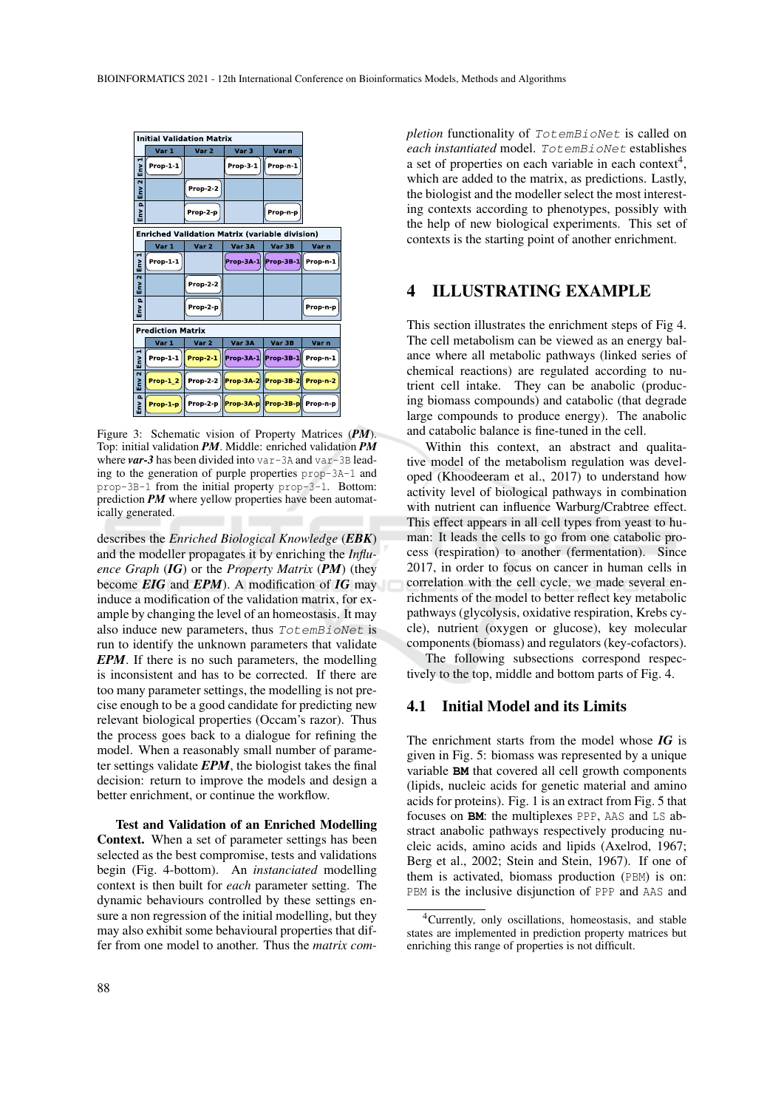| <b>Initial Validation Matrix</b> |                          |                  |                                                       |                    |          |
|----------------------------------|--------------------------|------------------|-------------------------------------------------------|--------------------|----------|
|                                  | Var 1                    | Var 2            | Var 3                                                 | Var n              |          |
| н<br>Env                         | Prop-1-1                 |                  | Prop-3-1                                              | Prop-n-1           |          |
| $\overline{\mathbf{N}}$<br>EnV   |                          | Prop-2-2         |                                                       |                    |          |
| $\Omega$<br>š                    |                          | Prop-2-p         |                                                       | Prop-n-p           |          |
|                                  |                          |                  | <b>Enriched Validation Matrix (variable division)</b> |                    |          |
|                                  | Var 1                    | Var <sub>2</sub> | Var 3A                                                | Var 3B             | Var n    |
| Env                              | Prop-1-1                 |                  | Prop-3A-1                                             | Prop-3B-1 Prop-n-1 |          |
| $\overline{N}$<br><u>Env</u>     |                          | Prop-2-2         |                                                       |                    |          |
| $\Omega$<br>$\geq$               |                          | Prop-2-p         |                                                       |                    | Prop-n-p |
|                                  | <b>Prediction Matrix</b> |                  |                                                       |                    |          |
|                                  | Var 1                    | Var <sub>2</sub> | Var 3A                                                | Var 3B             | Var n    |
| Env                              | $Prop-1-1$               | <b>Prop-2-1</b>  | Prop-3A-1                                             | Prop-3B-1          | Prop-n-1 |
| $E_{\rm{NV}}$ 2                  | Prop-1 2                 | <b>Prop-2-2</b>  | Prop-3A-2 Prop-3B-2 Prop-n-2                          |                    |          |
| $\Omega$<br>Env                  | Prop-1-p                 |                  | Prop-2-p Prop-3A-p Prop-3B-p Prop-n-p                 |                    |          |

Figure 3: Schematic vision of Property Matrices (*PM*). Top: initial validation *PM*. Middle: enriched validation *PM* where *var-3* has been divided into var-3A and var-3B leading to the generation of purple properties prop-3A-1 and prop-3B-1 from the initial property prop-3-1. Bottom: prediction *PM* where yellow properties have been automatically generated.

describes the *Enriched Biological Knowledge* (*EBK*) and the modeller propagates it by enriching the *Influence Graph* (*IG*) or the *Property Matrix* (*PM*) (they become *EIG* and *EPM*). A modification of *IG* may induce a modification of the validation matrix, for example by changing the level of an homeostasis. It may also induce new parameters, thus TotemBioNet is run to identify the unknown parameters that validate *EPM*. If there is no such parameters, the modelling is inconsistent and has to be corrected. If there are too many parameter settings, the modelling is not precise enough to be a good candidate for predicting new relevant biological properties (Occam's razor). Thus the process goes back to a dialogue for refining the model. When a reasonably small number of parameter settings validate *EPM*, the biologist takes the final decision: return to improve the models and design a better enrichment, or continue the workflow.

Test and Validation of an Enriched Modelling Context. When a set of parameter settings has been selected as the best compromise, tests and validations begin (Fig. 4-bottom). An *instanciated* modelling context is then built for *each* parameter setting. The dynamic behaviours controlled by these settings ensure a non regression of the initial modelling, but they may also exhibit some behavioural properties that differ from one model to another. Thus the *matrix com-* *pletion* functionality of TotemBioNet is called on *each instantiated* model. TotemBioNet establishes a set of properties on each variable in each context<sup>4</sup>, which are added to the matrix, as predictions. Lastly, the biologist and the modeller select the most interesting contexts according to phenotypes, possibly with the help of new biological experiments. This set of contexts is the starting point of another enrichment.

### 4 ILLUSTRATING EXAMPLE

This section illustrates the enrichment steps of Fig 4. The cell metabolism can be viewed as an energy balance where all metabolic pathways (linked series of chemical reactions) are regulated according to nutrient cell intake. They can be anabolic (producing biomass compounds) and catabolic (that degrade large compounds to produce energy). The anabolic and catabolic balance is fine-tuned in the cell.

Within this context, an abstract and qualitative model of the metabolism regulation was developed (Khoodeeram et al., 2017) to understand how activity level of biological pathways in combination with nutrient can influence Warburg/Crabtree effect. This effect appears in all cell types from yeast to human: It leads the cells to go from one catabolic process (respiration) to another (fermentation). Since 2017, in order to focus on cancer in human cells in correlation with the cell cycle, we made several enrichments of the model to better reflect key metabolic pathways (glycolysis, oxidative respiration, Krebs cycle), nutrient (oxygen or glucose), key molecular components (biomass) and regulators (key-cofactors).

The following subsections correspond respectively to the top, middle and bottom parts of Fig. 4.

#### 4.1 Initial Model and its Limits

The enrichment starts from the model whose *IG* is given in Fig. 5: biomass was represented by a unique variable **BM** that covered all cell growth components (lipids, nucleic acids for genetic material and amino acids for proteins). Fig. 1 is an extract from Fig. 5 that focuses on **BM**: the multiplexes PPP, AAS and LS abstract anabolic pathways respectively producing nucleic acids, amino acids and lipids (Axelrod, 1967; Berg et al., 2002; Stein and Stein, 1967). If one of them is activated, biomass production (PBM) is on: PBM is the inclusive disjunction of PPP and AAS and

<sup>4</sup>Currently, only oscillations, homeostasis, and stable states are implemented in prediction property matrices but enriching this range of properties is not difficult.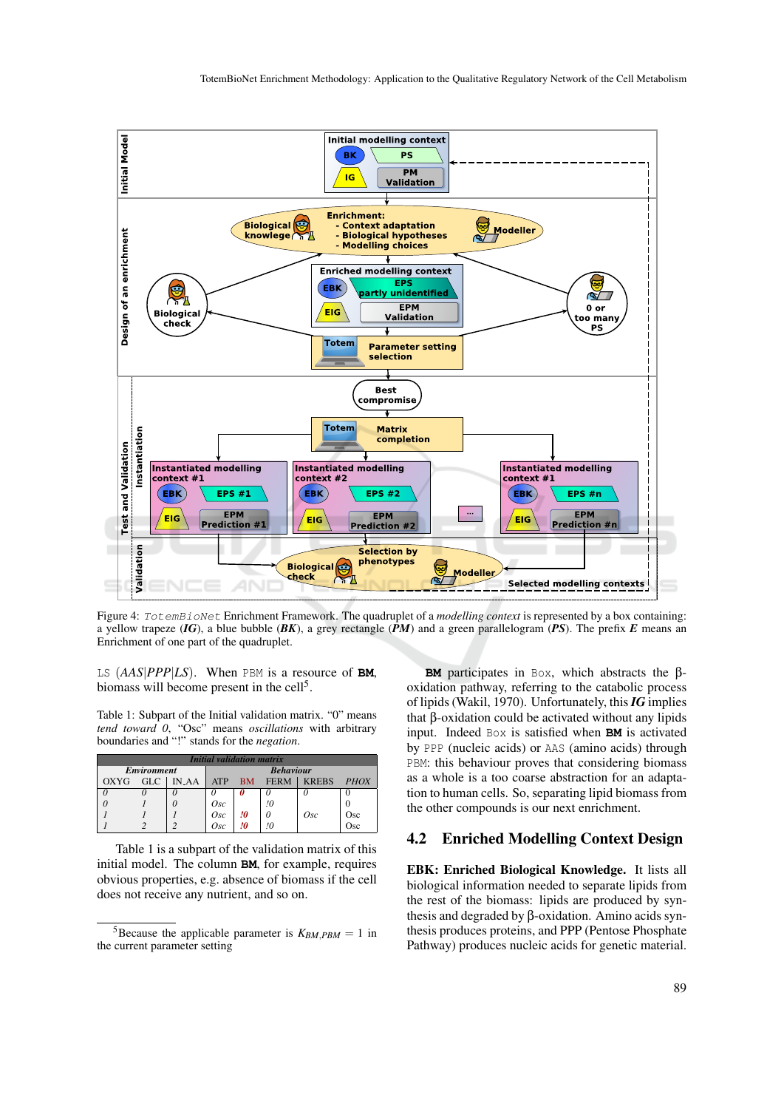

Figure 4: TotemBioNet Enrichment Framework. The quadruplet of a *modelling context* is represented by a box containing: a yellow trapeze (*IG*), a blue bubble (*BK*), a grey rectangle (*PM*) and a green parallelogram (*PS*). The prefix *E* means an Enrichment of one part of the quadruplet.

LS (*AAS*|*PPP*|*LS*). When PBM is a resource of **BM**, biomass will become present in the cell<sup>5</sup>.

Table 1: Subpart of the Initial validation matrix. "0" means *tend toward 0*, "Osc" means *oscillations* with arbitrary boundaries and "!" stands for the *negation*.

| <i>Initial validation matrix</i> |                    |                  |                                                                |    |    |     |     |  |  |
|----------------------------------|--------------------|------------------|----------------------------------------------------------------|----|----|-----|-----|--|--|
|                                  | <b>Environment</b> | <b>Behaviour</b> |                                                                |    |    |     |     |  |  |
| <b>OXYG</b>                      | <b>GLC</b>         | <b>IN_AA</b>     | <b>KREBS</b><br><b>ATP</b><br><b>FERM</b><br>PHOX<br><b>BM</b> |    |    |     |     |  |  |
|                                  |                    |                  |                                                                |    |    |     |     |  |  |
|                                  |                    |                  | Osc                                                            |    | !0 |     |     |  |  |
|                                  |                    |                  | Osc                                                            | !0 |    | Osc | Osc |  |  |
|                                  |                    |                  | Osc                                                            | !O | 10 |     | Osc |  |  |

Table 1 is a subpart of the validation matrix of this initial model. The column **BM**, for example, requires obvious properties, e.g. absence of biomass if the cell does not receive any nutrient, and so on.

**BM** participates in Box, which abstracts the βoxidation pathway, referring to the catabolic process of lipids (Wakil, 1970). Unfortunately, this*IG* implies that β-oxidation could be activated without any lipids input. Indeed Box is satisfied when **BM** is activated by PPP (nucleic acids) or AAS (amino acids) through PBM: this behaviour proves that considering biomass as a whole is a too coarse abstraction for an adaptation to human cells. So, separating lipid biomass from the other compounds is our next enrichment.

#### 4.2 Enriched Modelling Context Design

EBK: Enriched Biological Knowledge. It lists all biological information needed to separate lipids from the rest of the biomass: lipids are produced by synthesis and degraded by β-oxidation. Amino acids synthesis produces proteins, and PPP (Pentose Phosphate Pathway) produces nucleic acids for genetic material.

<sup>&</sup>lt;sup>5</sup>Because the applicable parameter is  $K_{BM, PBM} = 1$  in the current parameter setting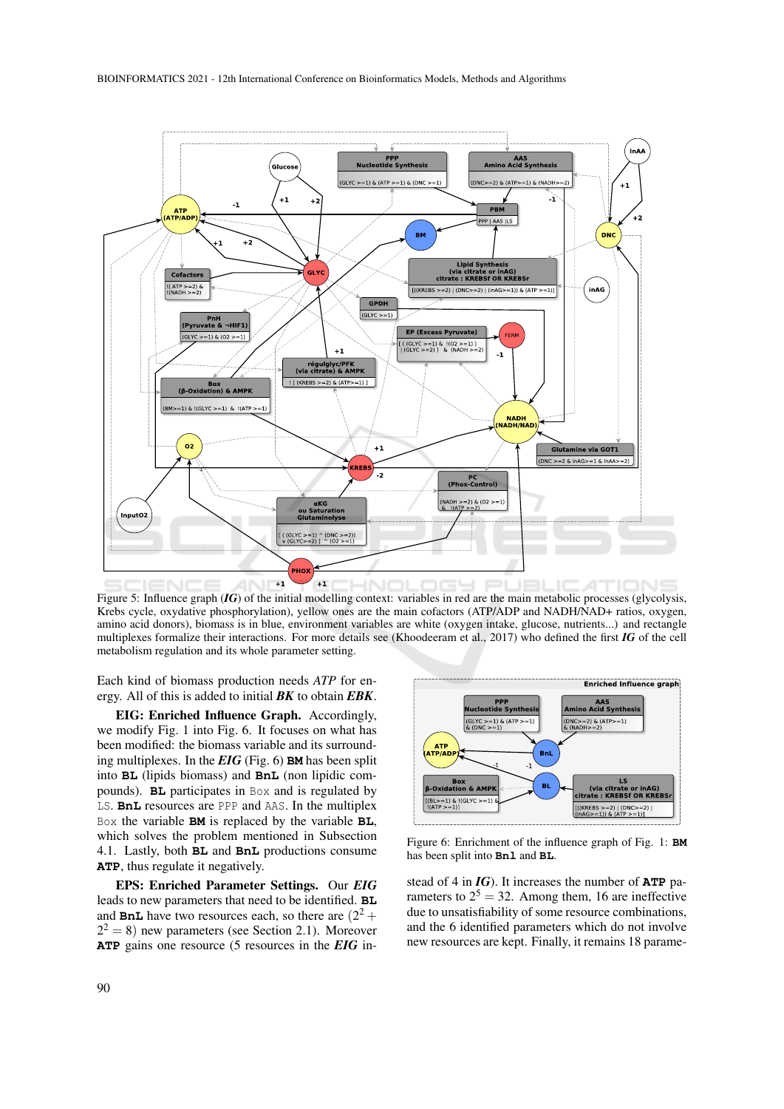

Figure 5: Influence graph (*IG*) of the initial modelling context: variables in red are the main metabolic processes (glycolysis, Krebs cycle, oxydative phosphorylation), yellow ones are the main cofactors (ATP/ADP and NADH/NAD+ ratios, oxygen, amino acid donors), biomass is in blue, environment variables are white (oxygen intake, glucose, nutrients...) and rectangle multiplexes formalize their interactions. For more details see (Khoodeeram et al., 2017) who defined the first *IG* of the cell metabolism regulation and its whole parameter setting.

Each kind of biomass production needs *ATP* for energy. All of this is added to initial *BK* to obtain *EBK*.

EIG: Enriched Influence Graph. Accordingly, we modify Fig. 1 into Fig. 6. It focuses on what has been modified: the biomass variable and its surrounding multiplexes. In the *EIG* (Fig. 6) **BM** has been split into **BL** (lipids biomass) and **BnL** (non lipidic compounds). **BL** participates in Box and is regulated by LS. **BnL** resources are PPP and AAS. In the multiplex Box the variable **BM** is replaced by the variable **BL**, which solves the problem mentioned in Subsection 4.1. Lastly, both **BL** and **BnL** productions consume **ATP**, thus regulate it negatively.

EPS: Enriched Parameter Settings. Our *EIG* leads to new parameters that need to be identified. **BL** and **BnL** have two resources each, so there are  $(2^2 +$  $2^2 = 8$ ) new parameters (see Section 2.1). Moreover **ATP** gains one resource (5 resources in the *EIG* in-



Figure 6: Enrichment of the influence graph of Fig. 1: **BM** has been split into **Bnl** and **BL**.

stead of 4 in *IG*). It increases the number of **ATP** parameters to  $2^5 = 32$ . Among them, 16 are ineffective due to unsatisfiability of some resource combinations, and the 6 identified parameters which do not involve new resources are kept. Finally, it remains 18 parame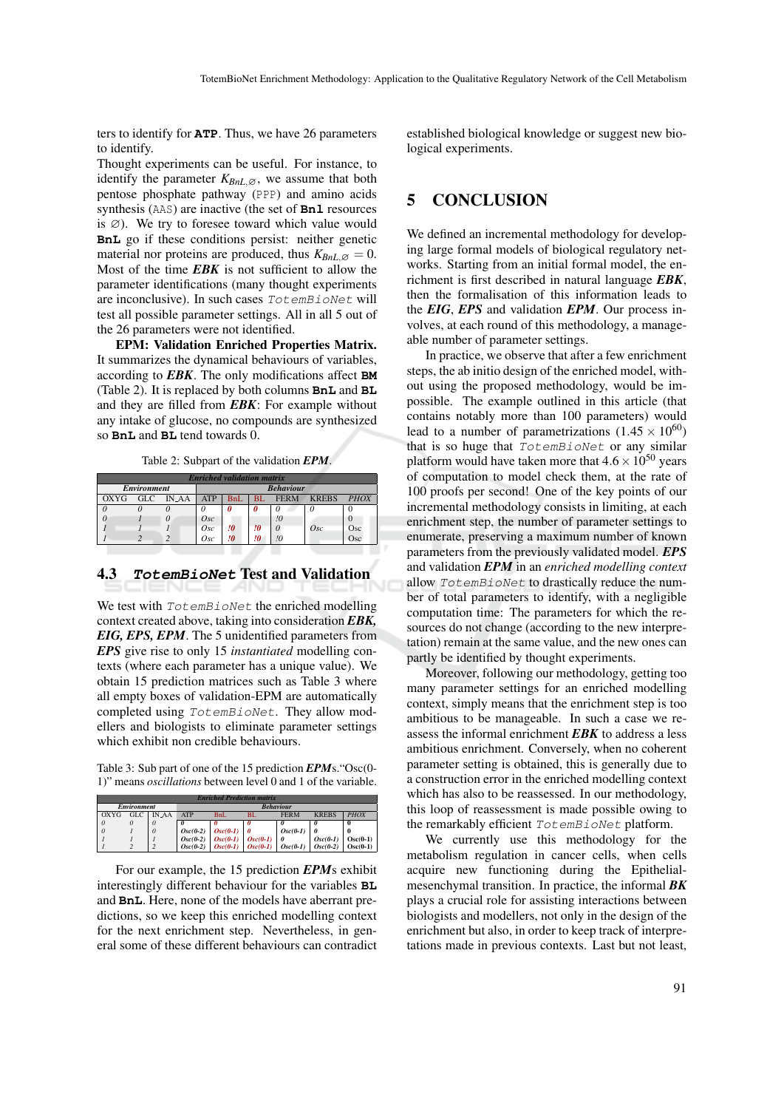ters to identify for **ATP**. Thus, we have 26 parameters to identify.

Thought experiments can be useful. For instance, to identify the parameter  $K_{BnL, \emptyset}$ , we assume that both pentose phosphate pathway (PPP) and amino acids synthesis (AAS) are inactive (the set of **Bnl** resources is  $\varnothing$ ). We try to foresee toward which value would **BnL** go if these conditions persist: neither genetic material nor proteins are produced, thus  $K_{BnL} \, \alpha = 0$ . Most of the time *EBK* is not sufficient to allow the parameter identifications (many thought experiments are inconclusive). In such cases TotemBioNet will test all possible parameter settings. All in all 5 out of the 26 parameters were not identified.

EPM: Validation Enriched Properties Matrix. It summarizes the dynamical behaviours of variables, according to *EBK*. The only modifications affect **BM** (Table 2). It is replaced by both columns **BnL** and **BL** and they are filled from *EBK*: For example without any intake of glucose, no compounds are synthesized so **BnL** and **BL** tend towards 0.

Table 2: Subpart of the validation *EPM*.

| <b>Enriched validation matrix</b> |                  |              |                                                                       |    |    |    |     |     |  |
|-----------------------------------|------------------|--------------|-----------------------------------------------------------------------|----|----|----|-----|-----|--|
| <b>Environment</b>                | <b>Behaviour</b> |              |                                                                       |    |    |    |     |     |  |
| OXYG                              | GLC.             | <b>IN_AA</b> | <b>FERM</b><br><b>KREBS</b><br><b>PHOX</b><br>BL<br><b>ATP</b><br>BnL |    |    |    |     |     |  |
|                                   |                  |              |                                                                       |    | 0  | 0  |     |     |  |
|                                   |                  |              | Osc                                                                   |    |    | !0 |     |     |  |
|                                   |                  |              | Osc                                                                   | 10 | 10 |    | Osc | Osc |  |
|                                   |                  |              | Osc                                                                   | !0 | !O |    |     | Osc |  |

#### 4.3 **TotemBioNet** Test and Validation

We test with  $TotemBi\,oNet$  the enriched modelling context created above, taking into consideration *EBK, EIG, EPS, EPM*. The 5 unidentified parameters from *EPS* give rise to only 15 *instantiated* modelling contexts (where each parameter has a unique value). We obtain 15 prediction matrices such as Table 3 where all empty boxes of validation-EPM are automatically completed using TotemBioNet. They allow modellers and biologists to eliminate parameter settings which exhibit non credible behaviours.

Table 3: Sub part of one of the 15 prediction *EPM*s."Osc(0- 1)" means *oscillations* between level 0 and 1 of the variable.

| <b>Enriched Prediction matrix</b> |                    |          |                  |            |                       |             |                         |             |  |  |
|-----------------------------------|--------------------|----------|------------------|------------|-----------------------|-------------|-------------------------|-------------|--|--|
|                                   | <b>Environment</b> |          | <b>Behaviour</b> |            |                       |             |                         |             |  |  |
| OXYG                              | <b>GLC</b>         | IN_AA    | <b>ATP</b>       | BnL        | BL.                   | <b>FERM</b> | <b>KREBS</b>            | <b>PHOX</b> |  |  |
| $\theta$                          |                    | $\theta$ |                  |            |                       |             |                         |             |  |  |
| $\theta$                          |                    | $\theta$ | $Osc(0-2)$       | $Osc(0-1)$ |                       | $Osc(0-1)$  |                         |             |  |  |
|                                   |                    |          | $Osc(0-2)$       | $Osc(0-1)$ | $Osc(0-1)$            |             | $Osc(0-1)$              | $Osc(0-1)$  |  |  |
|                                   |                    |          | $Osc(0-2)$       |            | $Osc(0-1)$ $Osc(0-1)$ |             | $Osc(0-1)$   $Osc(0-2)$ | $Osc(0-1)$  |  |  |

For our example, the 15 prediction *EPM*s exhibit interestingly different behaviour for the variables **BL** and **BnL**. Here, none of the models have aberrant predictions, so we keep this enriched modelling context for the next enrichment step. Nevertheless, in general some of these different behaviours can contradict established biological knowledge or suggest new biological experiments.

### 5 CONCLUSION

We defined an incremental methodology for developing large formal models of biological regulatory networks. Starting from an initial formal model, the enrichment is first described in natural language *EBK*, then the formalisation of this information leads to the *EIG*, *EPS* and validation *EPM*. Our process involves, at each round of this methodology, a manageable number of parameter settings.

In practice, we observe that after a few enrichment steps, the ab initio design of the enriched model, without using the proposed methodology, would be impossible. The example outlined in this article (that contains notably more than 100 parameters) would lead to a number of parametrizations  $(1.45 \times 10^{60})$ that is so huge that TotemBioNet or any similar platform would have taken more that  $4.6 \times 10^{50}$  years of computation to model check them, at the rate of 100 proofs per second! One of the key points of our incremental methodology consists in limiting, at each enrichment step, the number of parameter settings to enumerate, preserving a maximum number of known parameters from the previously validated model. *EPS* and validation *EPM* in an *enriched modelling context* allow TotemBioNet to drastically reduce the number of total parameters to identify, with a negligible computation time: The parameters for which the resources do not change (according to the new interpretation) remain at the same value, and the new ones can partly be identified by thought experiments.

Moreover, following our methodology, getting too many parameter settings for an enriched modelling context, simply means that the enrichment step is too ambitious to be manageable. In such a case we reassess the informal enrichment *EBK* to address a less ambitious enrichment. Conversely, when no coherent parameter setting is obtained, this is generally due to a construction error in the enriched modelling context which has also to be reassessed. In our methodology, this loop of reassessment is made possible owing to the remarkably efficient TotemBioNet platform.

We currently use this methodology for the metabolism regulation in cancer cells, when cells acquire new functioning during the Epithelialmesenchymal transition. In practice, the informal *BK* plays a crucial role for assisting interactions between biologists and modellers, not only in the design of the enrichment but also, in order to keep track of interpretations made in previous contexts. Last but not least,